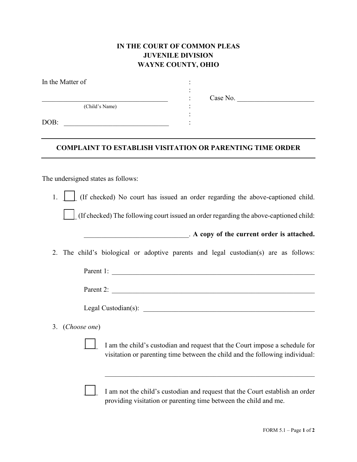## **IN THE COURT OF COMMON PLEAS JUVENILE DIVISION WAYNE COUNTY, OHIO**

:

| In the Matter of |  |
|------------------|--|
|                  |  |
| (Child's Name)   |  |
| DOB:             |  |

 $\therefore$  Case No.

## **COMPLAINT TO ESTABLISH VISITATION OR PARENTING TIME ORDER**

The undersigned states as follows:

1.  $\int$  (If checked) No court has issued an order regarding the above-captioned child.

\_\_\_\_ (If checked) The following court issued an order regarding the above-captioned child:

|  | . A copy of the current order is attached. |  |  |
|--|--------------------------------------------|--|--|
|  |                                            |  |  |

2. The child's biological or adoptive parents and legal custodian(s) are as follows:

Parent 1: \_\_\_\_\_\_\_\_\_\_\_\_\_\_\_\_\_\_\_\_\_\_\_\_\_\_\_\_\_\_\_\_\_\_\_\_\_\_\_\_\_\_\_\_\_\_\_\_\_\_\_\_\_\_\_\_\_\_

Parent 2:

Legal Custodian(s): \_\_\_\_\_\_\_\_\_\_\_\_\_\_\_\_\_\_\_\_\_\_\_\_\_\_\_\_\_\_\_\_\_\_\_\_\_\_\_\_\_\_\_\_\_\_\_\_\_

3. (*Choose one*)

I am the child's custodian and request that the Court impose a schedule for visitation or parenting time between the child and the following individual:

I am not the child's custodian and request that the Court establish an order providing visitation or parenting time between the child and me.